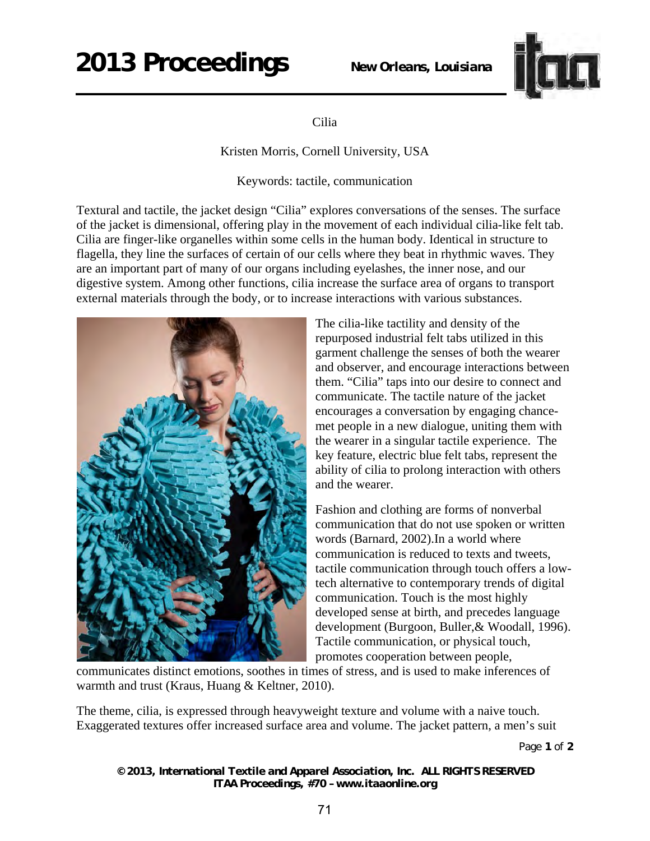## **2013 Proceedings** *New Orleans, Louisiana*



## Cilia

Kristen Morris, Cornell University, USA

Keywords: tactile, communication

Textural and tactile, the jacket design "Cilia" explores conversations of the senses. The surface of the jacket is dimensional, offering play in the movement of each individual cilia-like felt tab. Cilia are finger-like organelles within some cells in the human body. Identical in structure to flagella, they line the surfaces of certain of our cells where they beat in rhythmic waves. They are an important part of many of our organs including eyelashes, the inner nose, and our digestive system. Among other functions, cilia increase the surface area of organs to transport external materials through the body, or to increase interactions with various substances.



The cilia-like tactility and density of the repurposed industrial felt tabs utilized in this garment challenge the senses of both the wearer and observer, and encourage interactions between them. "Cilia" taps into our desire to connect and communicate. The tactile nature of the jacket encourages a conversation by engaging chancemet people in a new dialogue, uniting them with the wearer in a singular tactile experience. The key feature, electric blue felt tabs, represent the ability of cilia to prolong interaction with others and the wearer.

Fashion and clothing are forms of nonverbal communication that do not use spoken or written words (Barnard, 2002).In a world where communication is reduced to texts and tweets, tactile communication through touch offers a lowtech alternative to contemporary trends of digital communication. Touch is the most highly developed sense at birth, and precedes language development (Burgoon, Buller,& Woodall, 1996). Tactile communication, or physical touch, promotes cooperation between people,

communicates distinct emotions, soothes in times of stress, and is used to make inferences of warmth and trust (Kraus, Huang & Keltner, 2010).

The theme, cilia, is expressed through heavyweight texture and volume with a naive touch. Exaggerated textures offer increased surface area and volume. The jacket pattern, a men's suit

Page **1** of **2** 

*© 2013, International Textile and Apparel Association, Inc. ALL RIGHTS RESERVED ITAA Proceedings, #70 – www.itaaonline.org*